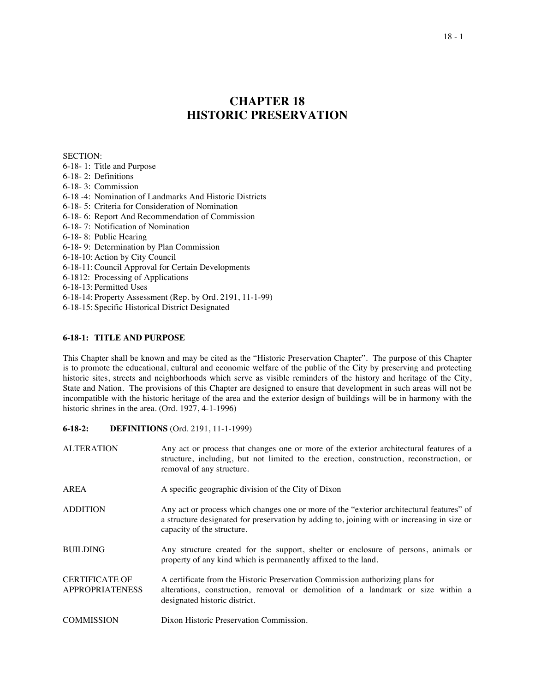# **CHAPTER 18 HISTORIC PRESERVATION**

SECTION:

- 6-18- 1: Title and Purpose
- 6-18- 2: Definitions
- 6-18- 3: Commission
- 6-18 -4: Nomination of Landmarks And Historic Districts
- 6-18- 5: Criteria for Consideration of Nomination
- 6-18- 6: Report And Recommendation of Commission
- 6-18- 7: Notification of Nomination
- 6-18- 8: Public Hearing
- 6-18- 9: Determination by Plan Commission
- 6-18-10: Action by City Council
- 6-18-11:Council Approval for Certain Developments
- 6-1812: Processing of Applications
- 6-18-13: Permitted Uses
- 6-18-14: Property Assessment (Rep. by Ord. 2191, 11-1-99)
- 6-18-15: Specific Historical District Designated

# **6-18-1: TITLE AND PURPOSE**

This Chapter shall be known and may be cited as the "Historic Preservation Chapter". The purpose of this Chapter is to promote the educational, cultural and economic welfare of the public of the City by preserving and protecting historic sites, streets and neighborhoods which serve as visible reminders of the history and heritage of the City, State and Nation. The provisions of this Chapter are designed to ensure that development in such areas will not be incompatible with the historic heritage of the area and the exterior design of buildings will be in harmony with the historic shrines in the area. (Ord. 1927, 4-1-1996)

**6-18-2: DEFINITIONS** (Ord. 2191, 11-1-1999)

| <b>ALTERATION</b>                               | Any act or process that changes one or more of the exterior architectural features of a<br>structure, including, but not limited to the erection, construction, reconstruction, or<br>removal of any structure.       |
|-------------------------------------------------|-----------------------------------------------------------------------------------------------------------------------------------------------------------------------------------------------------------------------|
| AREA                                            | A specific geographic division of the City of Dixon                                                                                                                                                                   |
| <b>ADDITION</b>                                 | Any act or process which changes one or more of the "exterior architectural features" of<br>a structure designated for preservation by adding to, joining with or increasing in size or<br>capacity of the structure. |
| <b>BUILDING</b>                                 | Any structure created for the support, shelter or enclosure of persons, animals or<br>property of any kind which is permanently affixed to the land.                                                                  |
| <b>CERTIFICATE OF</b><br><b>APPROPRIATENESS</b> | A certificate from the Historic Preservation Commission authorizing plans for<br>alterations, construction, removal or demolition of a landmark or size within a<br>designated historic district.                     |
| <b>COMMISSION</b>                               | Dixon Historic Preservation Commission.                                                                                                                                                                               |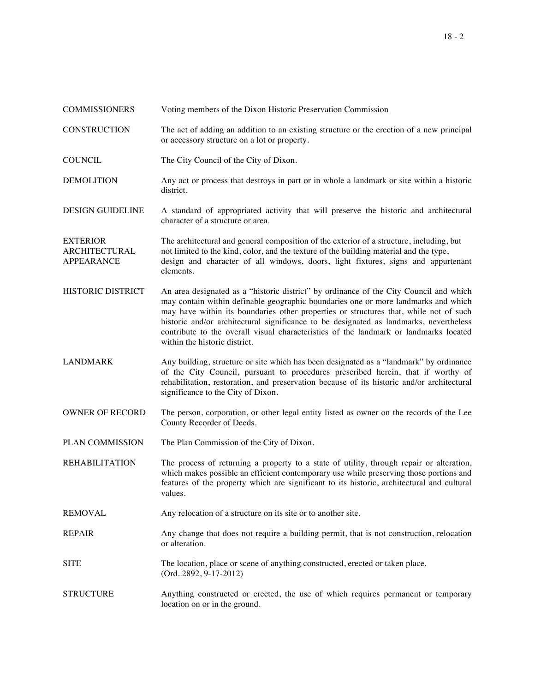| <b>COMMISSIONERS</b>                                         | Voting members of the Dixon Historic Preservation Commission                                                                                                                                                                                                                                                                                                                                                                                                                              |
|--------------------------------------------------------------|-------------------------------------------------------------------------------------------------------------------------------------------------------------------------------------------------------------------------------------------------------------------------------------------------------------------------------------------------------------------------------------------------------------------------------------------------------------------------------------------|
| <b>CONSTRUCTION</b>                                          | The act of adding an addition to an existing structure or the erection of a new principal<br>or accessory structure on a lot or property.                                                                                                                                                                                                                                                                                                                                                 |
| <b>COUNCIL</b>                                               | The City Council of the City of Dixon.                                                                                                                                                                                                                                                                                                                                                                                                                                                    |
| <b>DEMOLITION</b>                                            | Any act or process that destroys in part or in whole a landmark or site within a historic<br>district.                                                                                                                                                                                                                                                                                                                                                                                    |
| <b>DESIGN GUIDELINE</b>                                      | A standard of appropriated activity that will preserve the historic and architectural<br>character of a structure or area.                                                                                                                                                                                                                                                                                                                                                                |
| <b>EXTERIOR</b><br><b>ARCHITECTURAL</b><br><b>APPEARANCE</b> | The architectural and general composition of the exterior of a structure, including, but<br>not limited to the kind, color, and the texture of the building material and the type,<br>design and character of all windows, doors, light fixtures, signs and appurtenant<br>elements.                                                                                                                                                                                                      |
| <b>HISTORIC DISTRICT</b>                                     | An area designated as a "historic district" by ordinance of the City Council and which<br>may contain within definable geographic boundaries one or more landmarks and which<br>may have within its boundaries other properties or structures that, while not of such<br>historic and/or architectural significance to be designated as landmarks, nevertheless<br>contribute to the overall visual characteristics of the landmark or landmarks located<br>within the historic district. |
| <b>LANDMARK</b>                                              | Any building, structure or site which has been designated as a "landmark" by ordinance<br>of the City Council, pursuant to procedures prescribed herein, that if worthy of<br>rehabilitation, restoration, and preservation because of its historic and/or architectural<br>significance to the City of Dixon.                                                                                                                                                                            |
| <b>OWNER OF RECORD</b>                                       | The person, corporation, or other legal entity listed as owner on the records of the Lee<br>County Recorder of Deeds.                                                                                                                                                                                                                                                                                                                                                                     |
| PLAN COMMISSION                                              | The Plan Commission of the City of Dixon.                                                                                                                                                                                                                                                                                                                                                                                                                                                 |
| <b>REHABILITATION</b>                                        | The process of returning a property to a state of utility, through repair or alteration,<br>which makes possible an efficient contemporary use while preserving those portions and<br>features of the property which are significant to its historic, architectural and cultural<br>values.                                                                                                                                                                                               |
| <b>REMOVAL</b>                                               | Any relocation of a structure on its site or to another site.                                                                                                                                                                                                                                                                                                                                                                                                                             |
| <b>REPAIR</b>                                                | Any change that does not require a building permit, that is not construction, relocation<br>or alteration.                                                                                                                                                                                                                                                                                                                                                                                |
| <b>SITE</b>                                                  | The location, place or scene of anything constructed, erected or taken place.<br>(Ord. 2892, 9-17-2012)                                                                                                                                                                                                                                                                                                                                                                                   |
| <b>STRUCTURE</b>                                             | Anything constructed or erected, the use of which requires permanent or temporary<br>location on or in the ground.                                                                                                                                                                                                                                                                                                                                                                        |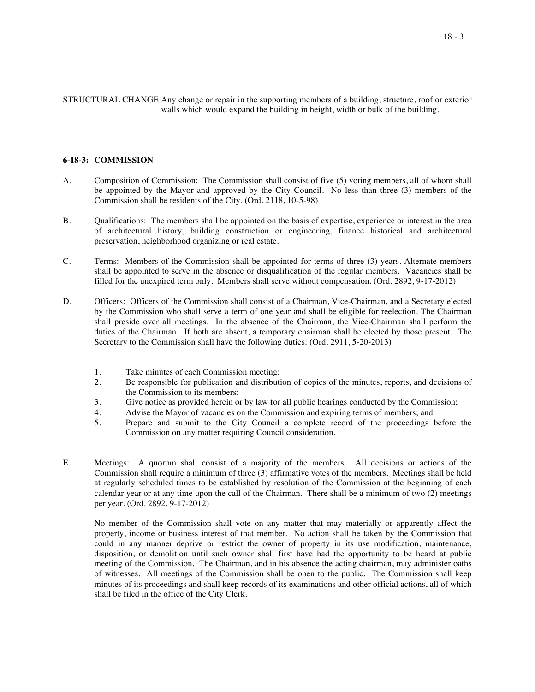STRUCTURAL CHANGE Any change or repair in the supporting members of a building, structure, roof or exterior walls which would expand the building in height, width or bulk of the building.

#### **6-18-3: COMMISSION**

- A. Composition of Commission: The Commission shall consist of five (5) voting members, all of whom shall be appointed by the Mayor and approved by the City Council. No less than three (3) members of the Commission shall be residents of the City. (Ord. 2118, 10-5-98)
- B. Qualifications: The members shall be appointed on the basis of expertise, experience or interest in the area of architectural history, building construction or engineering, finance historical and architectural preservation, neighborhood organizing or real estate.
- C. Terms: Members of the Commission shall be appointed for terms of three (3) years. Alternate members shall be appointed to serve in the absence or disqualification of the regular members. Vacancies shall be filled for the unexpired term only. Members shall serve without compensation. (Ord. 2892, 9-17-2012)
- D. Officers: Officers of the Commission shall consist of a Chairman, Vice-Chairman, and a Secretary elected by the Commission who shall serve a term of one year and shall be eligible for reelection. The Chairman shall preside over all meetings. In the absence of the Chairman, the Vice-Chairman shall perform the duties of the Chairman. If both are absent, a temporary chairman shall be elected by those present. The Secretary to the Commission shall have the following duties: (Ord. 2911, 5-20-2013)
	- 1. Take minutes of each Commission meeting;<br>2. Be responsible for publication and distributi
	- Be responsible for publication and distribution of copies of the minutes, reports, and decisions of the Commission to its members;
	- 3. Give notice as provided herein or by law for all public hearings conducted by the Commission;
	- 4. Advise the Mayor of vacancies on the Commission and expiring terms of members; and
	- 5. Prepare and submit to the City Council a complete record of the proceedings before the Commission on any matter requiring Council consideration.
- E. Meetings: A quorum shall consist of a majority of the members. All decisions or actions of the Commission shall require a minimum of three (3) affirmative votes of the members. Meetings shall be held at regularly scheduled times to be established by resolution of the Commission at the beginning of each calendar year or at any time upon the call of the Chairman. There shall be a minimum of two (2) meetings per year. (Ord. 2892, 9-17-2012)

No member of the Commission shall vote on any matter that may materially or apparently affect the property, income or business interest of that member. No action shall be taken by the Commission that could in any manner deprive or restrict the owner of property in its use modification, maintenance, disposition, or demolition until such owner shall first have had the opportunity to be heard at public meeting of the Commission. The Chairman, and in his absence the acting chairman, may administer oaths of witnesses. All meetings of the Commission shall be open to the public. The Commission shall keep minutes of its proceedings and shall keep records of its examinations and other official actions, all of which shall be filed in the office of the City Clerk.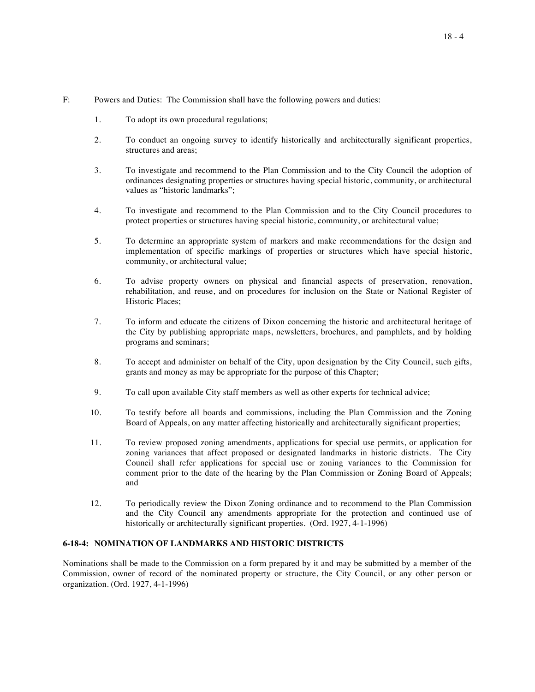#### F: Powers and Duties: The Commission shall have the following powers and duties:

- 1. To adopt its own procedural regulations;
- 2. To conduct an ongoing survey to identify historically and architecturally significant properties, structures and areas;
- 3. To investigate and recommend to the Plan Commission and to the City Council the adoption of ordinances designating properties or structures having special historic, community, or architectural values as "historic landmarks";
- 4. To investigate and recommend to the Plan Commission and to the City Council procedures to protect properties or structures having special historic, community, or architectural value;
- 5. To determine an appropriate system of markers and make recommendations for the design and implementation of specific markings of properties or structures which have special historic, community, or architectural value;
- 6. To advise property owners on physical and financial aspects of preservation, renovation, rehabilitation, and reuse, and on procedures for inclusion on the State or National Register of Historic Places;
- 7. To inform and educate the citizens of Dixon concerning the historic and architectural heritage of the City by publishing appropriate maps, newsletters, brochures, and pamphlets, and by holding programs and seminars;
- 8. To accept and administer on behalf of the City, upon designation by the City Council, such gifts, grants and money as may be appropriate for the purpose of this Chapter;
- 9. To call upon available City staff members as well as other experts for technical advice;
- 10. To testify before all boards and commissions, including the Plan Commission and the Zoning Board of Appeals, on any matter affecting historically and architecturally significant properties;
- 11. To review proposed zoning amendments, applications for special use permits, or application for zoning variances that affect proposed or designated landmarks in historic districts. The City Council shall refer applications for special use or zoning variances to the Commission for comment prior to the date of the hearing by the Plan Commission or Zoning Board of Appeals; and
- 12. To periodically review the Dixon Zoning ordinance and to recommend to the Plan Commission and the City Council any amendments appropriate for the protection and continued use of historically or architecturally significant properties. (Ord. 1927, 4-1-1996)

# **6-18-4: NOMINATION OF LANDMARKS AND HISTORIC DISTRICTS**

Nominations shall be made to the Commission on a form prepared by it and may be submitted by a member of the Commission, owner of record of the nominated property or structure, the City Council, or any other person or organization. (Ord. 1927, 4-1-1996)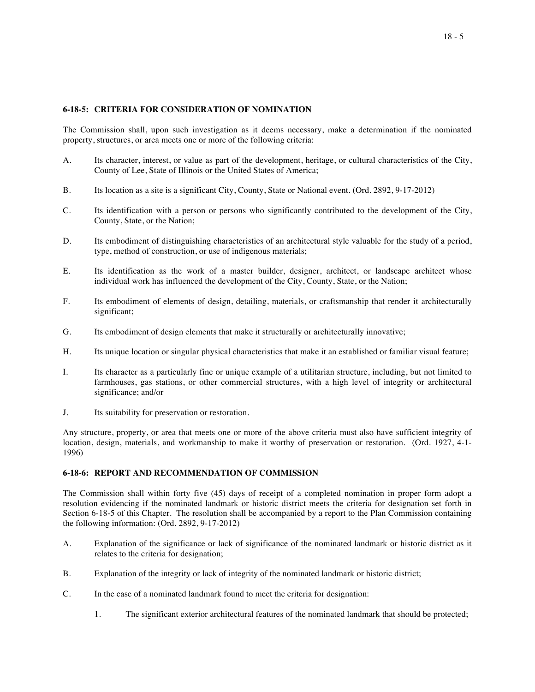## **6-18-5: CRITERIA FOR CONSIDERATION OF NOMINATION**

The Commission shall, upon such investigation as it deems necessary, make a determination if the nominated property, structures, or area meets one or more of the following criteria:

- A. Its character, interest, or value as part of the development, heritage, or cultural characteristics of the City, County of Lee, State of Illinois or the United States of America;
- B. Its location as a site is a significant City, County, State or National event. (Ord. 2892, 9-17-2012)
- C. Its identification with a person or persons who significantly contributed to the development of the City, County, State, or the Nation;
- D. Its embodiment of distinguishing characteristics of an architectural style valuable for the study of a period, type, method of construction, or use of indigenous materials;
- E. Its identification as the work of a master builder, designer, architect, or landscape architect whose individual work has influenced the development of the City, County, State, or the Nation;
- F. Its embodiment of elements of design, detailing, materials, or craftsmanship that render it architecturally significant;
- G. Its embodiment of design elements that make it structurally or architecturally innovative;
- H. Its unique location or singular physical characteristics that make it an established or familiar visual feature;
- I. Its character as a particularly fine or unique example of a utilitarian structure, including, but not limited to farmhouses, gas stations, or other commercial structures, with a high level of integrity or architectural significance; and/or
- J. Its suitability for preservation or restoration.

Any structure, property, or area that meets one or more of the above criteria must also have sufficient integrity of location, design, materials, and workmanship to make it worthy of preservation or restoration. (Ord. 1927, 4-1-1996)

# **6-18-6: REPORT AND RECOMMENDATION OF COMMISSION**

The Commission shall within forty five (45) days of receipt of a completed nomination in proper form adopt a resolution evidencing if the nominated landmark or historic district meets the criteria for designation set forth in Section 6-18-5 of this Chapter. The resolution shall be accompanied by a report to the Plan Commission containing the following information: (Ord. 2892, 9-17-2012)

- A. Explanation of the significance or lack of significance of the nominated landmark or historic district as it relates to the criteria for designation;
- B. Explanation of the integrity or lack of integrity of the nominated landmark or historic district;
- C. In the case of a nominated landmark found to meet the criteria for designation:
	- 1. The significant exterior architectural features of the nominated landmark that should be protected;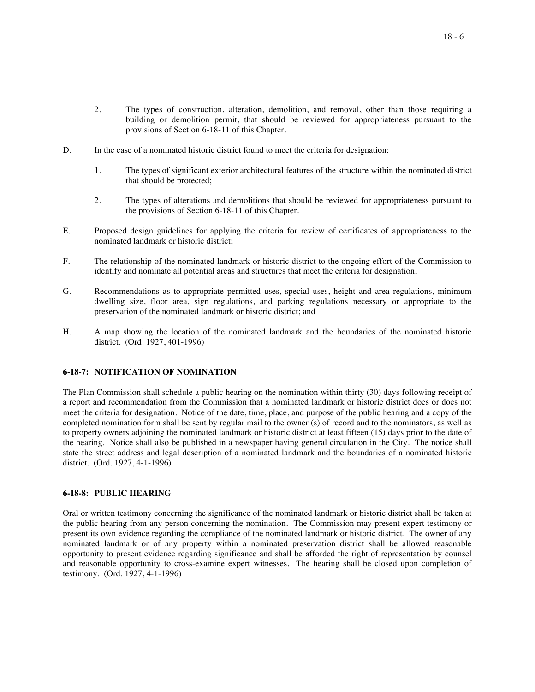- 2. The types of construction, alteration, demolition, and removal, other than those requiring a building or demolition permit, that should be reviewed for appropriateness pursuant to the provisions of Section 6-18-11 of this Chapter.
- D. In the case of a nominated historic district found to meet the criteria for designation:
	- 1. The types of significant exterior architectural features of the structure within the nominated district that should be protected;
	- 2. The types of alterations and demolitions that should be reviewed for appropriateness pursuant to the provisions of Section 6-18-11 of this Chapter.
- E. Proposed design guidelines for applying the criteria for review of certificates of appropriateness to the nominated landmark or historic district;
- F. The relationship of the nominated landmark or historic district to the ongoing effort of the Commission to identify and nominate all potential areas and structures that meet the criteria for designation;
- G. Recommendations as to appropriate permitted uses, special uses, height and area regulations, minimum dwelling size, floor area, sign regulations, and parking regulations necessary or appropriate to the preservation of the nominated landmark or historic district; and
- H. A map showing the location of the nominated landmark and the boundaries of the nominated historic district. (Ord. 1927, 401-1996)

# **6-18-7: NOTIFICATION OF NOMINATION**

The Plan Commission shall schedule a public hearing on the nomination within thirty (30) days following receipt of a report and recommendation from the Commission that a nominated landmark or historic district does or does not meet the criteria for designation. Notice of the date, time, place, and purpose of the public hearing and a copy of the completed nomination form shall be sent by regular mail to the owner (s) of record and to the nominators, as well as to property owners adjoining the nominated landmark or historic district at least fifteen (15) days prior to the date of the hearing. Notice shall also be published in a newspaper having general circulation in the City. The notice shall state the street address and legal description of a nominated landmark and the boundaries of a nominated historic district. (Ord. 1927, 4-1-1996)

### **6-18-8: PUBLIC HEARING**

Oral or written testimony concerning the significance of the nominated landmark or historic district shall be taken at the public hearing from any person concerning the nomination. The Commission may present expert testimony or present its own evidence regarding the compliance of the nominated landmark or historic district. The owner of any nominated landmark or of any property within a nominated preservation district shall be allowed reasonable opportunity to present evidence regarding significance and shall be afforded the right of representation by counsel and reasonable opportunity to cross-examine expert witnesses. The hearing shall be closed upon completion of testimony. (Ord. 1927, 4-1-1996)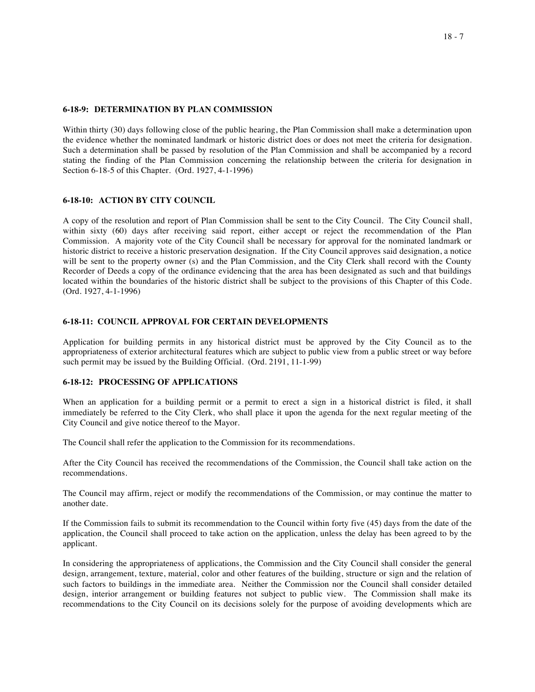### **6-18-9: DETERMINATION BY PLAN COMMISSION**

Within thirty (30) days following close of the public hearing, the Plan Commission shall make a determination upon the evidence whether the nominated landmark or historic district does or does not meet the criteria for designation. Such a determination shall be passed by resolution of the Plan Commission and shall be accompanied by a record stating the finding of the Plan Commission concerning the relationship between the criteria for designation in Section 6-18-5 of this Chapter. (Ord. 1927, 4-1-1996)

#### **6-18-10: ACTION BY CITY COUNCIL**

A copy of the resolution and report of Plan Commission shall be sent to the City Council. The City Council shall, within sixty (60) days after receiving said report, either accept or reject the recommendation of the Plan Commission. A majority vote of the City Council shall be necessary for approval for the nominated landmark or historic district to receive a historic preservation designation. If the City Council approves said designation, a notice will be sent to the property owner (s) and the Plan Commission, and the City Clerk shall record with the County Recorder of Deeds a copy of the ordinance evidencing that the area has been designated as such and that buildings located within the boundaries of the historic district shall be subject to the provisions of this Chapter of this Code. (Ord. 1927, 4-1-1996)

## **6-18-11: COUNCIL APPROVAL FOR CERTAIN DEVELOPMENTS**

Application for building permits in any historical district must be approved by the City Council as to the appropriateness of exterior architectural features which are subject to public view from a public street or way before such permit may be issued by the Building Official. (Ord. 2191, 11-1-99)

## **6-18-12: PROCESSING OF APPLICATIONS**

When an application for a building permit or a permit to erect a sign in a historical district is filed, it shall immediately be referred to the City Clerk, who shall place it upon the agenda for the next regular meeting of the City Council and give notice thereof to the Mayor.

The Council shall refer the application to the Commission for its recommendations.

After the City Council has received the recommendations of the Commission, the Council shall take action on the recommendations.

The Council may affirm, reject or modify the recommendations of the Commission, or may continue the matter to another date.

If the Commission fails to submit its recommendation to the Council within forty five (45) days from the date of the application, the Council shall proceed to take action on the application, unless the delay has been agreed to by the applicant.

In considering the appropriateness of applications, the Commission and the City Council shall consider the general design, arrangement, texture, material, color and other features of the building, structure or sign and the relation of such factors to buildings in the immediate area. Neither the Commission nor the Council shall consider detailed design, interior arrangement or building features not subject to public view. The Commission shall make its recommendations to the City Council on its decisions solely for the purpose of avoiding developments which are